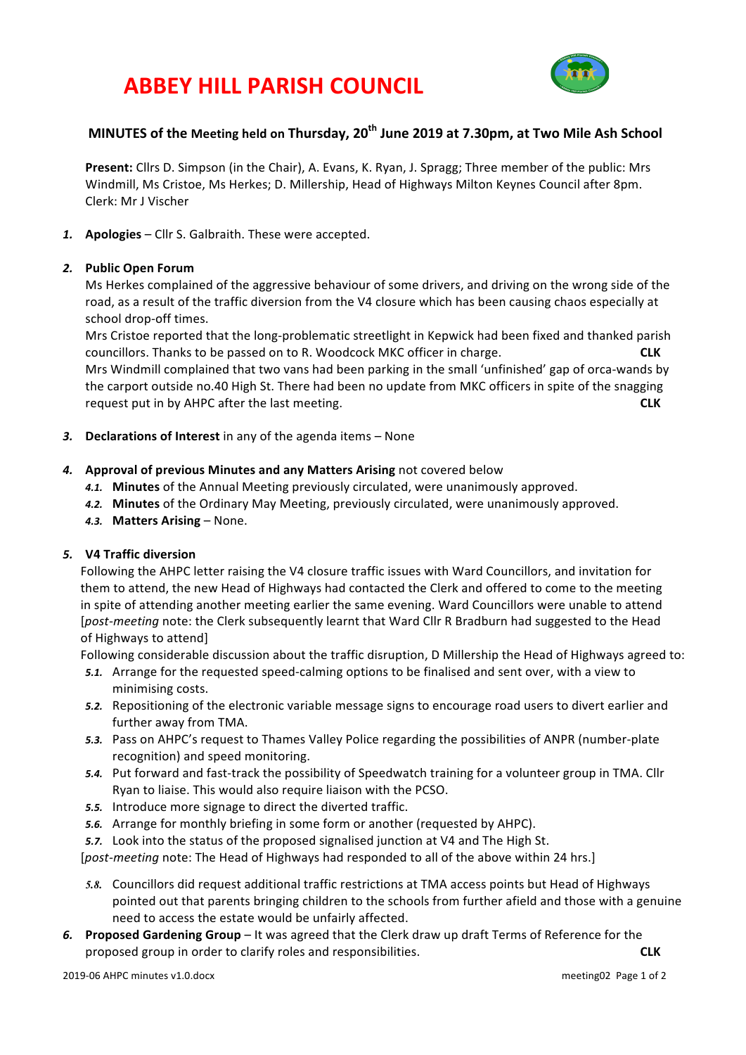# **ABBEY HILL PARISH COUNCIL**



# **MINUTES** of the Meeting held on Thursday, 20<sup>th</sup> June 2019 at 7.30pm, at Two Mile Ash School

**Present:** Cllrs D. Simpson (in the Chair), A. Evans, K. Ryan, J. Spragg; Three member of the public: Mrs Windmill, Ms Cristoe, Ms Herkes; D. Millership, Head of Highways Milton Keynes Council after 8pm. Clerk: Mr J Vischer

1. **Apologies** – Cllr S. Galbraith. These were accepted.

#### 2. **Public Open Forum**

Ms Herkes complained of the aggressive behaviour of some drivers, and driving on the wrong side of the road, as a result of the traffic diversion from the V4 closure which has been causing chaos especially at school drop-off times.

Mrs Cristoe reported that the long-problematic streetlight in Kepwick had been fixed and thanked parish councillors. Thanks to be passed on to R. Woodcock MKC officer in charge. **CLK** Mrs Windmill complained that two vans had been parking in the small 'unfinished' gap of orca-wands by the carport outside no.40 High St. There had been no update from MKC officers in spite of the snagging request put in by AHPC after the last meeting. **CLK** 

3. **Declarations of Interest** in any of the agenda items – None

#### **4.** Approval of previous Minutes and any Matters Arising not covered below

- 4.1. Minutes of the Annual Meeting previously circulated, were unanimously approved.
- 4.2. Minutes of the Ordinary May Meeting, previously circulated, were unanimously approved.
- **4.3. Matters Arising None.**

# *5.* **V4 Traffic diversion**

Following the AHPC letter raising the V4 closure traffic issues with Ward Councillors, and invitation for them to attend, the new Head of Highways had contacted the Clerk and offered to come to the meeting in spite of attending another meeting earlier the same evening. Ward Councillors were unable to attend [*post-meeting* note: the Clerk subsequently learnt that Ward Cllr R Bradburn had suggested to the Head of Highways to attend]

Following considerable discussion about the traffic disruption, D Millership the Head of Highways agreed to:

- 5.1. Arrange for the requested speed-calming options to be finalised and sent over, with a view to minimising costs.
- 5.2. Repositioning of the electronic variable message signs to encourage road users to divert earlier and further away from TMA.
- 5.3. Pass on AHPC's request to Thames Valley Police regarding the possibilities of ANPR (number-plate recognition) and speed monitoring.
- 5.4. Put forward and fast-track the possibility of Speedwatch training for a volunteer group in TMA. Cllr Ryan to liaise. This would also require liaison with the PCSO.
- 5.5. Introduce more signage to direct the diverted traffic.
- **5.6.** Arrange for monthly briefing in some form or another (requested by AHPC).
- 5.7. Look into the status of the proposed signalised junction at V4 and The High St.

[*post-meeting* note: The Head of Highways had responded to all of the above within 24 hrs.]

- 5.8. Councillors did request additional traffic restrictions at TMA access points but Head of Highways pointed out that parents bringing children to the schools from further afield and those with a genuine need to access the estate would be unfairly affected.
- 6. Proposed Gardening Group It was agreed that the Clerk draw up draft Terms of Reference for the proposed group in order to clarify roles and responsibilities. **CLK**